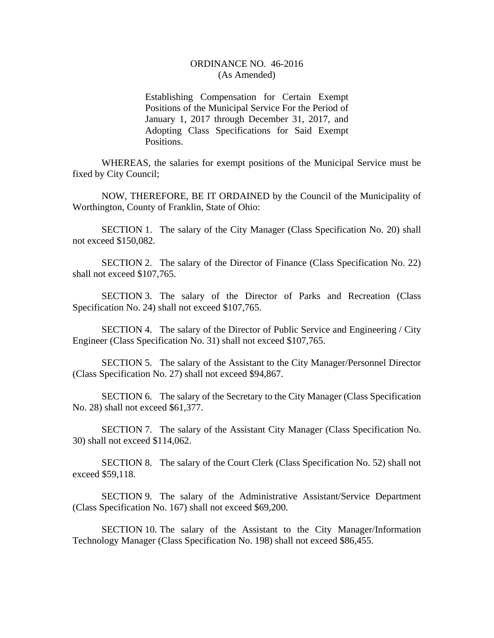## ORDINANCE NO. 46-2016 (As Amended)

Establishing Compensation for Certain Exempt Positions of the Municipal Service For the Period of January 1, 2017 through December 31, 2017, and Adopting Class Specifications for Said Exempt Positions.

WHEREAS, the salaries for exempt positions of the Municipal Service must be fixed by City Council;

NOW, THEREFORE, BE IT ORDAINED by the Council of the Municipality of Worthington, County of Franklin, State of Ohio:

SECTION 1. The salary of the City Manager (Class Specification No. 20) shall not exceed \$150,082.

SECTION 2. The salary of the Director of Finance (Class Specification No. 22) shall not exceed \$107,765.

SECTION 3. The salary of the Director of Parks and Recreation (Class Specification No. 24) shall not exceed \$107,765.

SECTION 4. The salary of the Director of Public Service and Engineering / City Engineer (Class Specification No. 31) shall not exceed \$107,765.

SECTION 5. The salary of the Assistant to the City Manager/Personnel Director (Class Specification No. 27) shall not exceed \$94,867.

SECTION 6. The salary of the Secretary to the City Manager (Class Specification No. 28) shall not exceed \$61,377.

SECTION 7. The salary of the Assistant City Manager (Class Specification No. 30) shall not exceed \$114,062.

SECTION 8. The salary of the Court Clerk (Class Specification No. 52) shall not exceed \$59,118.

SECTION 9. The salary of the Administrative Assistant/Service Department (Class Specification No. 167) shall not exceed \$69,200.

SECTION 10. The salary of the Assistant to the City Manager/Information Technology Manager (Class Specification No. 198) shall not exceed \$86,455.